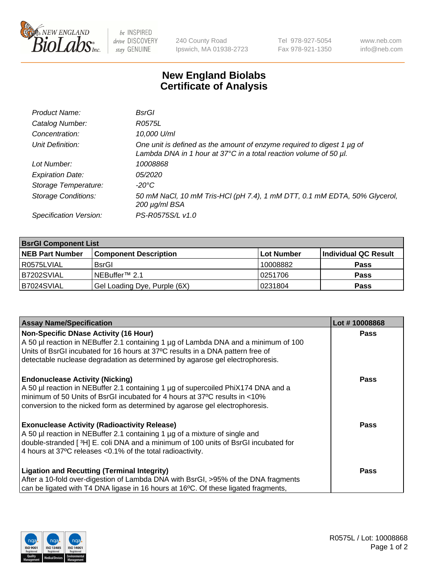

 $be$  INSPIRED drive DISCOVERY stay GENUINE

240 County Road Ipswich, MA 01938-2723 Tel 978-927-5054 Fax 978-921-1350 www.neb.com info@neb.com

## **New England Biolabs Certificate of Analysis**

| Product Name:              | <b>BsrGI</b>                                                                                                                                               |
|----------------------------|------------------------------------------------------------------------------------------------------------------------------------------------------------|
| Catalog Number:            | R0575L                                                                                                                                                     |
| Concentration:             | 10,000 U/ml                                                                                                                                                |
| Unit Definition:           | One unit is defined as the amount of enzyme required to digest 1 µg of<br>Lambda DNA in 1 hour at $37^{\circ}$ C in a total reaction volume of 50 $\mu$ l. |
| Lot Number:                | 10008868                                                                                                                                                   |
| <b>Expiration Date:</b>    | <i>05/2020</i>                                                                                                                                             |
| Storage Temperature:       | -20°C                                                                                                                                                      |
| <b>Storage Conditions:</b> | 50 mM NaCl, 10 mM Tris-HCl (pH 7.4), 1 mM DTT, 0.1 mM EDTA, 50% Glycerol,<br>200 µg/ml BSA                                                                 |
| Specification Version:     | PS-R0575S/L v1.0                                                                                                                                           |

| <b>BsrGI Component List</b> |                              |            |                      |  |  |
|-----------------------------|------------------------------|------------|----------------------|--|--|
| <b>NEB Part Number</b>      | <b>Component Description</b> | Lot Number | Individual QC Result |  |  |
| R0575LVIAL                  | <b>BsrGI</b>                 | 10008882   | <b>Pass</b>          |  |  |
| B7202SVIAL                  | INEBuffer™ 2.1               | 10251706   | <b>Pass</b>          |  |  |
| B7024SVIAL                  | Gel Loading Dye, Purple (6X) | 10231804   | <b>Pass</b>          |  |  |

| <b>Assay Name/Specification</b>                                                                                                                                 | Lot #10008868 |
|-----------------------------------------------------------------------------------------------------------------------------------------------------------------|---------------|
| Non-Specific DNase Activity (16 Hour)                                                                                                                           | <b>Pass</b>   |
| A 50 µl reaction in NEBuffer 2.1 containing 1 µg of Lambda DNA and a minimum of 100                                                                             |               |
| Units of BsrGI incubated for 16 hours at 37°C results in a DNA pattern free of<br>detectable nuclease degradation as determined by agarose gel electrophoresis. |               |
|                                                                                                                                                                 |               |
| <b>Endonuclease Activity (Nicking)</b>                                                                                                                          | <b>Pass</b>   |
| A 50 µl reaction in NEBuffer 2.1 containing 1 µg of supercoiled PhiX174 DNA and a                                                                               |               |
| minimum of 50 Units of BsrGI incubated for 4 hours at 37°C results in <10%                                                                                      |               |
| conversion to the nicked form as determined by agarose gel electrophoresis.                                                                                     |               |
| <b>Exonuclease Activity (Radioactivity Release)</b>                                                                                                             | Pass          |
| A 50 µl reaction in NEBuffer 2.1 containing 1 µg of a mixture of single and                                                                                     |               |
| double-stranded [3H] E. coli DNA and a minimum of 100 units of BsrGI incubated for                                                                              |               |
| 4 hours at 37°C releases < 0.1% of the total radioactivity.                                                                                                     |               |
|                                                                                                                                                                 |               |
| <b>Ligation and Recutting (Terminal Integrity)</b>                                                                                                              | <b>Pass</b>   |
| After a 10-fold over-digestion of Lambda DNA with BsrGI, >95% of the DNA fragments                                                                              |               |
| can be ligated with T4 DNA ligase in 16 hours at 16 <sup>o</sup> C. Of these ligated fragments,                                                                 |               |